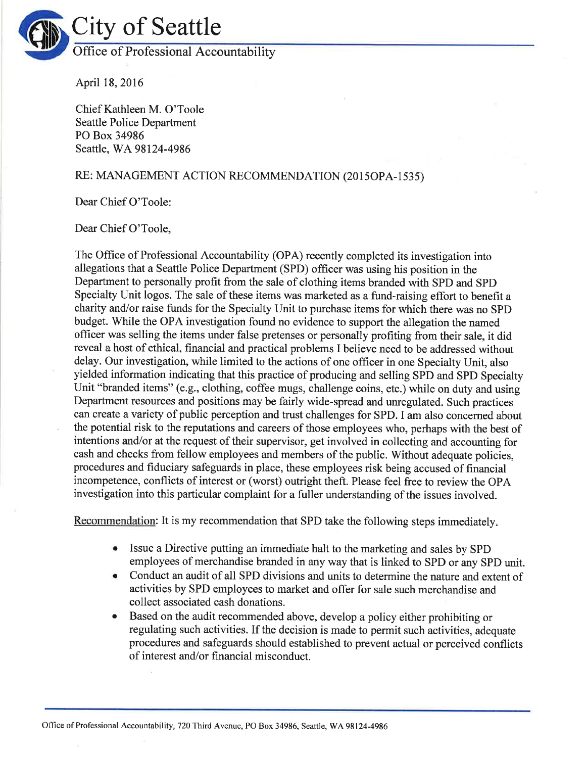

April 18,2016

Chief Kathleen M. O'Toole Seattle Police Department PO Box 34986 Seattle, WA 98124-4986

## RE: MANAGEMENT ACTION RECOMMENDATION (2015OPA-1535)

Dear Chief O'Toole:

## Dear Chief O'Toole,

The Office of Professional Accountability (OPA) recently completed its investigation into allegations that a Seattle Police Department (SPD) officer was using his position in the Department to personally profit from the sale of clothing items branded with SPD and SPD Specialty Unit logos. The sale of these items was marketed as a fund-raising effort to benefit a charity and/or raise funds for the Specialty Unit to purchase items for which there was no SPD budget. While the OPA investigation found no evidence to support the allegation the named ofhcer was selling the items under false pretenses or personally profiting from their sale, it did reveal a host of ethical, financial and practical problems I believe need to be addressed without delay. Our investigation, while limited to the actions of one officer in one Specialty Unit, also yielded information indicating that this practice of producing and selling SPD and SPD Specialty Unit "branded items" (e.g., clothing, coffee mugs, challenge coins, etc.) while on duty and using Department resources and positions may be fairly wide-spread and unregulated. Such practices can create a variety of public perception and trust challenges for SPD. I am also concerned about the potential risk to the reputations and careers of those employees who, perhaps with the best of intentions and/or at the request of their supervisor, get involved in collecting and accounting for cash and checks from fellow employees and members of the public. Without adequate policies, procedures and fiduciary safeguards in place, these employees risk being accused of financial incompetence, conflicts of interest or (worst) outright theft. Please feel free to review the OPA investigation into this particular complaint for a fuller understanding of the issues involved.

Recommendation: It is my recommendation that SPD take the following steps immediately

- Issue a Directive putting an immediate halt to the marketing and sales by sPD employees of merchandise branded in any way that is linked to SPD or any SPD unit. a
- Conduct an audit of all SPD divisions and units to determine the nature and extent of activities by SPD employees to market and offer for sale such merchandise and collect associated cash donations. a
- Based on the audit recommended above, develop a policy either prohibiting or regulating such activities. If the decision is made to permit such activities, adequate procedures and safeguards should established to prevent actual or perceived conflicts of interest and/or financial misconduct. o